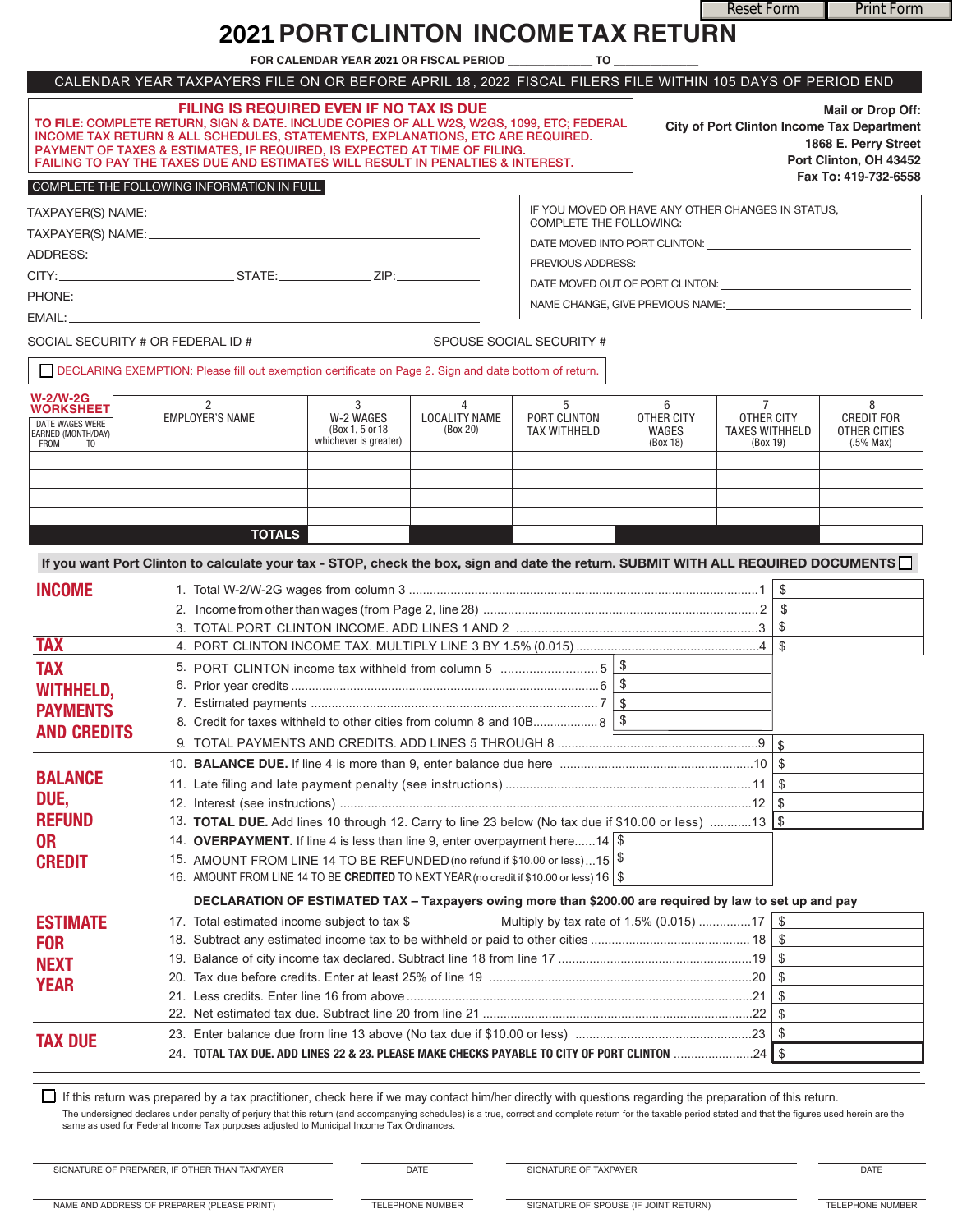Reset Form **Print Form** 

# **PORT CLINTON INCOME TAX RETURN 2021**

|                                                                                                   |                                                                                                                                                                                                                                                                                                                                                                                          | FOR CALENDAR YEAR 2021 OR FISCAL PERIOD                     |                                       | TO.                                      |                                                                                                                                                                                                                                |                                                                |                                                                                                                                                                                                                                |
|---------------------------------------------------------------------------------------------------|------------------------------------------------------------------------------------------------------------------------------------------------------------------------------------------------------------------------------------------------------------------------------------------------------------------------------------------------------------------------------------------|-------------------------------------------------------------|---------------------------------------|------------------------------------------|--------------------------------------------------------------------------------------------------------------------------------------------------------------------------------------------------------------------------------|----------------------------------------------------------------|--------------------------------------------------------------------------------------------------------------------------------------------------------------------------------------------------------------------------------|
|                                                                                                   | CALENDAR YEAR TAXPAYERS FILE ON OR BEFORE APRIL 18, 2022 FISCAL FILERS FILE WITHIN 105 DAYS OF PERIOD END                                                                                                                                                                                                                                                                                |                                                             |                                       |                                          |                                                                                                                                                                                                                                |                                                                |                                                                                                                                                                                                                                |
|                                                                                                   | FILING IS REQUIRED EVEN IF NO TAX IS DUE<br>TO FILE: COMPLETE RETURN, SIGN & DATE. INCLUDE COPIES OF ALL W2S, W2GS, 1099, ETC; FEDERAL<br>INCOME TAX RETURN & ALL SCHEDULES, STATEMENTS, EXPLANATIONS, ETC ARE REQUIRED.<br>PAYMENT OF TAXES & ESTIMATES, IF REQUIRED, IS EXPECTED AT TIME OF FILING.<br>FAILING TO PAY THE TAXES DUE AND ESTIMATES WILL RESULT IN PENALTIES & INTEREST. |                                                             |                                       |                                          |                                                                                                                                                                                                                                |                                                                | <b>Mail or Drop Off:</b><br>City of Port Clinton Income Tax Department<br>1868 E. Perry Street<br>Port Clinton, OH 43452<br>Fax To: 419-732-6558                                                                               |
|                                                                                                   | COMPLETE THE FOLLOWING INFORMATION IN FULL                                                                                                                                                                                                                                                                                                                                               |                                                             |                                       |                                          |                                                                                                                                                                                                                                |                                                                |                                                                                                                                                                                                                                |
|                                                                                                   |                                                                                                                                                                                                                                                                                                                                                                                          |                                                             |                                       |                                          | IF YOU MOVED OR HAVE ANY OTHER CHANGES IN STATUS,                                                                                                                                                                              |                                                                |                                                                                                                                                                                                                                |
|                                                                                                   |                                                                                                                                                                                                                                                                                                                                                                                          |                                                             |                                       | <b>COMPLETE THE FOLLOWING:</b>           |                                                                                                                                                                                                                                |                                                                |                                                                                                                                                                                                                                |
|                                                                                                   |                                                                                                                                                                                                                                                                                                                                                                                          |                                                             |                                       |                                          |                                                                                                                                                                                                                                |                                                                | DATE MOVED INTO PORT CLINTON: University of the material and the material and the material and the material and the material and the material and the material and the material and the material and the material and material |
|                                                                                                   |                                                                                                                                                                                                                                                                                                                                                                                          |                                                             |                                       |                                          | PREVIOUS ADDRESS: University of the contract of the contract of the contract of the contract of the contract of the contract of the contract of the contract of the contract of the contract of the contract of the contract o |                                                                |                                                                                                                                                                                                                                |
|                                                                                                   |                                                                                                                                                                                                                                                                                                                                                                                          |                                                             |                                       |                                          |                                                                                                                                                                                                                                |                                                                |                                                                                                                                                                                                                                |
|                                                                                                   |                                                                                                                                                                                                                                                                                                                                                                                          |                                                             |                                       |                                          |                                                                                                                                                                                                                                |                                                                | NAME CHANGE, GIVE PREVIOUS NAME:                                                                                                                                                                                               |
|                                                                                                   |                                                                                                                                                                                                                                                                                                                                                                                          |                                                             |                                       |                                          |                                                                                                                                                                                                                                |                                                                |                                                                                                                                                                                                                                |
|                                                                                                   | SOCIAL SECURITY # OR FEDERAL ID #________________________________SPOUSE SOCIAL SECURITY #_____________________                                                                                                                                                                                                                                                                           |                                                             |                                       |                                          |                                                                                                                                                                                                                                |                                                                |                                                                                                                                                                                                                                |
|                                                                                                   | DECLARING EXEMPTION: Please fill out exemption certificate on Page 2. Sign and date bottom of return.                                                                                                                                                                                                                                                                                    |                                                             |                                       |                                          |                                                                                                                                                                                                                                |                                                                |                                                                                                                                                                                                                                |
| <b>W-2/W-2G</b><br><b>WORKSHEET</b><br>DATE WAGES WERE<br>EARNED (MONTH/DAY)<br><b>FROM</b><br>TO | $\overline{2}$<br><b>EMPLOYER'S NAME</b>                                                                                                                                                                                                                                                                                                                                                 | 3<br>W-2 WAGES<br>(Box 1, 5 or 18)<br>whichever is greater) | 4<br><b>LOCALITY NAME</b><br>(Box 20) | 5<br>PORT CLINTON<br><b>TAX WITHHELD</b> | 6<br><b>OTHER CITY</b><br>WAGES<br>(Box 18)                                                                                                                                                                                    | $7^{\circ}$<br>OTHER CITY<br><b>TAXES WITHHELD</b><br>(Box 19) | 8<br><b>CREDIT FOR</b><br>OTHER CITIES<br>$(.5\%$ Max)                                                                                                                                                                         |
|                                                                                                   |                                                                                                                                                                                                                                                                                                                                                                                          |                                                             |                                       |                                          |                                                                                                                                                                                                                                |                                                                |                                                                                                                                                                                                                                |
|                                                                                                   |                                                                                                                                                                                                                                                                                                                                                                                          |                                                             |                                       |                                          |                                                                                                                                                                                                                                |                                                                |                                                                                                                                                                                                                                |
|                                                                                                   | <b>TOTALS</b>                                                                                                                                                                                                                                                                                                                                                                            |                                                             |                                       |                                          |                                                                                                                                                                                                                                |                                                                |                                                                                                                                                                                                                                |
|                                                                                                   |                                                                                                                                                                                                                                                                                                                                                                                          |                                                             |                                       |                                          |                                                                                                                                                                                                                                |                                                                |                                                                                                                                                                                                                                |
|                                                                                                   | If you want Port Clinton to calculate your tax - STOP, check the box, sign and date the return. SUBMIT WITH ALL REQUIRED DOCUMENTS                                                                                                                                                                                                                                                       |                                                             |                                       |                                          |                                                                                                                                                                                                                                |                                                                |                                                                                                                                                                                                                                |
| <b>INCOME</b>                                                                                     |                                                                                                                                                                                                                                                                                                                                                                                          |                                                             |                                       |                                          |                                                                                                                                                                                                                                | \$                                                             |                                                                                                                                                                                                                                |
|                                                                                                   |                                                                                                                                                                                                                                                                                                                                                                                          |                                                             |                                       |                                          |                                                                                                                                                                                                                                | -\$                                                            |                                                                                                                                                                                                                                |
|                                                                                                   |                                                                                                                                                                                                                                                                                                                                                                                          |                                                             |                                       |                                          |                                                                                                                                                                                                                                | \$                                                             |                                                                                                                                                                                                                                |
| <b>TAX</b>                                                                                        |                                                                                                                                                                                                                                                                                                                                                                                          |                                                             |                                       |                                          |                                                                                                                                                                                                                                | $\mathfrak{L}$                                                 |                                                                                                                                                                                                                                |
| <b>TAX</b>                                                                                        |                                                                                                                                                                                                                                                                                                                                                                                          |                                                             |                                       |                                          |                                                                                                                                                                                                                                |                                                                |                                                                                                                                                                                                                                |
| <b>WITHHELD,</b>                                                                                  |                                                                                                                                                                                                                                                                                                                                                                                          |                                                             |                                       |                                          |                                                                                                                                                                                                                                |                                                                |                                                                                                                                                                                                                                |
| <b>PAYMENTS</b>                                                                                   |                                                                                                                                                                                                                                                                                                                                                                                          |                                                             |                                       |                                          |                                                                                                                                                                                                                                |                                                                |                                                                                                                                                                                                                                |
| <b>AND CREDITS</b>                                                                                | 8. Credit for taxes withheld to other cities from column 8 and 10B 8   \$                                                                                                                                                                                                                                                                                                                |                                                             |                                       |                                          |                                                                                                                                                                                                                                |                                                                |                                                                                                                                                                                                                                |
|                                                                                                   |                                                                                                                                                                                                                                                                                                                                                                                          |                                                             |                                       |                                          |                                                                                                                                                                                                                                |                                                                |                                                                                                                                                                                                                                |
| <b>BALANCE</b>                                                                                    |                                                                                                                                                                                                                                                                                                                                                                                          |                                                             |                                       |                                          |                                                                                                                                                                                                                                | -\$                                                            |                                                                                                                                                                                                                                |
|                                                                                                   |                                                                                                                                                                                                                                                                                                                                                                                          |                                                             |                                       |                                          |                                                                                                                                                                                                                                | -\$                                                            |                                                                                                                                                                                                                                |
| DUE,                                                                                              |                                                                                                                                                                                                                                                                                                                                                                                          |                                                             |                                       |                                          |                                                                                                                                                                                                                                |                                                                |                                                                                                                                                                                                                                |
| <b>REFUND</b>                                                                                     | 13. <b>TOTAL DUE.</b> Add lines 10 through 12. Carry to line 23 below (No tax due if \$10.00 or less) 13 \\$                                                                                                                                                                                                                                                                             |                                                             |                                       |                                          |                                                                                                                                                                                                                                |                                                                |                                                                                                                                                                                                                                |
| <b>OR</b>                                                                                         | 14. OVERPAYMENT. If line 4 is less than line 9, enter overpayment here14 $\frac{1}{9}$                                                                                                                                                                                                                                                                                                   |                                                             |                                       |                                          |                                                                                                                                                                                                                                |                                                                |                                                                                                                                                                                                                                |
| <b>CREDIT</b>                                                                                     | 15. AMOUNT FROM LINE 14 TO BE REFUNDED (no refund if \$10.00 or less)15 \$<br>16. AMOUNT FROM LINE 14 TO BE CREDITED TO NEXT YEAR (no credit if \$10.00 or less) 16   \$                                                                                                                                                                                                                 |                                                             |                                       |                                          |                                                                                                                                                                                                                                |                                                                |                                                                                                                                                                                                                                |
|                                                                                                   |                                                                                                                                                                                                                                                                                                                                                                                          |                                                             |                                       |                                          |                                                                                                                                                                                                                                |                                                                |                                                                                                                                                                                                                                |
|                                                                                                   | DECLARATION OF ESTIMATED TAX - Taxpayers owing more than \$200.00 are required by law to set up and pay                                                                                                                                                                                                                                                                                  |                                                             |                                       |                                          |                                                                                                                                                                                                                                |                                                                |                                                                                                                                                                                                                                |
| <b>ESTIMATE</b>                                                                                   |                                                                                                                                                                                                                                                                                                                                                                                          |                                                             |                                       |                                          |                                                                                                                                                                                                                                | -\$<br>\$                                                      |                                                                                                                                                                                                                                |
| <b>FOR</b>                                                                                        |                                                                                                                                                                                                                                                                                                                                                                                          |                                                             |                                       |                                          |                                                                                                                                                                                                                                | -\$                                                            |                                                                                                                                                                                                                                |
| <b>NEXT</b>                                                                                       |                                                                                                                                                                                                                                                                                                                                                                                          |                                                             |                                       |                                          |                                                                                                                                                                                                                                | \$                                                             |                                                                                                                                                                                                                                |
| <b>YEAR</b>                                                                                       |                                                                                                                                                                                                                                                                                                                                                                                          |                                                             |                                       |                                          |                                                                                                                                                                                                                                | \$                                                             |                                                                                                                                                                                                                                |
|                                                                                                   |                                                                                                                                                                                                                                                                                                                                                                                          |                                                             |                                       |                                          |                                                                                                                                                                                                                                | \$                                                             |                                                                                                                                                                                                                                |
|                                                                                                   |                                                                                                                                                                                                                                                                                                                                                                                          |                                                             |                                       |                                          |                                                                                                                                                                                                                                |                                                                |                                                                                                                                                                                                                                |
|                                                                                                   |                                                                                                                                                                                                                                                                                                                                                                                          |                                                             |                                       |                                          |                                                                                                                                                                                                                                |                                                                |                                                                                                                                                                                                                                |
| <b>TAX DUE</b>                                                                                    | 24. TOTAL TAX DUE. ADD LINES 22 & 23. PLEASE MAKE CHECKS PAYABLE TO CITY OF PORT CLINTON 24   \$                                                                                                                                                                                                                                                                                         |                                                             |                                       |                                          |                                                                                                                                                                                                                                |                                                                |                                                                                                                                                                                                                                |

If this return was prepared by a tax practitioner, check here if we may contact him/her directly with questions regarding the preparation of this return. The undersigned declares under penalty of perjury that this return (and accompanying schedules) is a true, correct and complete return for the taxable period stated and that the figures used herein are the<br>same as used for

SIGNATURE OF PREPARER, IF OTHER THAN TAXPAYER

**DATE** 

SIGNATURE OF TAXPAYER